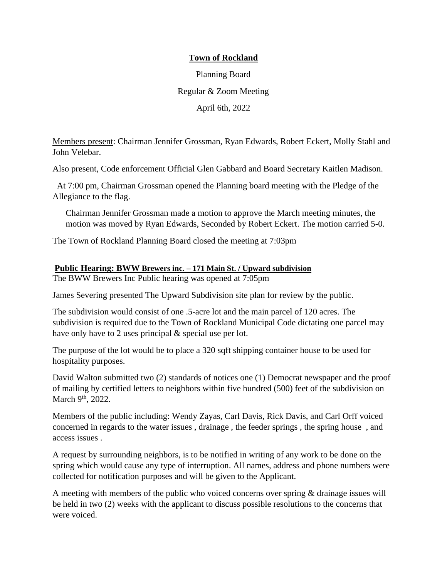### **Town of Rockland**

Planning Board Regular & Zoom Meeting April 6th, 2022

Members present: Chairman Jennifer Grossman, Ryan Edwards, Robert Eckert, Molly Stahl and John Velebar.

Also present, Code enforcement Official Glen Gabbard and Board Secretary Kaitlen Madison.

At 7:00 pm, Chairman Grossman opened the Planning board meeting with the Pledge of the Allegiance to the flag.

Chairman Jennifer Grossman made a motion to approve the March meeting minutes, the motion was moved by Ryan Edwards, Seconded by Robert Eckert. The motion carried 5-0.

The Town of Rockland Planning Board closed the meeting at 7:03pm

#### **Public Hearing: BWW Brewers inc. – 171 Main St. / Upward subdivision**

The BWW Brewers Inc Public hearing was opened at 7:05pm

James Severing presented The Upward Subdivision site plan for review by the public.

The subdivision would consist of one .5-acre lot and the main parcel of 120 acres. The subdivision is required due to the Town of Rockland Municipal Code dictating one parcel may have only have to 2 uses principal & special use per lot.

The purpose of the lot would be to place a 320 sqft shipping container house to be used for hospitality purposes.

David Walton submitted two (2) standards of notices one (1) Democrat newspaper and the proof of mailing by certified letters to neighbors within five hundred (500) feet of the subdivision on March 9<sup>th</sup>, 2022.

Members of the public including: Wendy Zayas, Carl Davis, Rick Davis, and Carl Orff voiced concerned in regards to the water issues , drainage , the feeder springs , the spring house , and access issues .

A request by surrounding neighbors, is to be notified in writing of any work to be done on the spring which would cause any type of interruption. All names, address and phone numbers were collected for notification purposes and will be given to the Applicant.

A meeting with members of the public who voiced concerns over spring & drainage issues will be held in two (2) weeks with the applicant to discuss possible resolutions to the concerns that were voiced.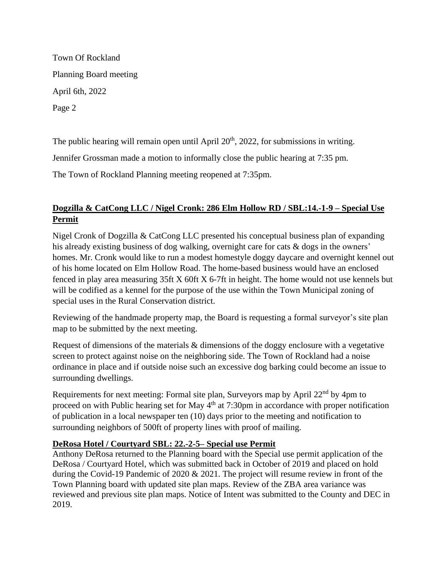Town Of Rockland Planning Board meeting April 6th, 2022 Page 2

The public hearing will remain open until April  $20<sup>th</sup>$ ,  $2022$ , for submissions in writing.

Jennifer Grossman made a motion to informally close the public hearing at 7:35 pm.

The Town of Rockland Planning meeting reopened at 7:35pm.

# **Dogzilla & CatCong LLC / Nigel Cronk: 286 Elm Hollow RD / SBL:14.-1-9 – Special Use Permit**

Nigel Cronk of Dogzilla & CatCong LLC presented his conceptual business plan of expanding his already existing business of dog walking, overnight care for cats & dogs in the owners' homes. Mr. Cronk would like to run a modest homestyle doggy daycare and overnight kennel out of his home located on Elm Hollow Road. The home-based business would have an enclosed fenced in play area measuring 35ft X 60ft X 6-7ft in height. The home would not use kennels but will be codified as a kennel for the purpose of the use within the Town Municipal zoning of special uses in the Rural Conservation district.

Reviewing of the handmade property map, the Board is requesting a formal surveyor's site plan map to be submitted by the next meeting.

Request of dimensions of the materials & dimensions of the doggy enclosure with a vegetative screen to protect against noise on the neighboring side. The Town of Rockland had a noise ordinance in place and if outside noise such an excessive dog barking could become an issue to surrounding dwellings.

Requirements for next meeting: Formal site plan, Surveyors map by April 22<sup>nd</sup> by 4pm to proceed on with Public hearing set for May  $4<sup>th</sup>$  at 7:30pm in accordance with proper notification of publication in a local newspaper ten (10) days prior to the meeting and notification to surrounding neighbors of 500ft of property lines with proof of mailing.

## **DeRosa Hotel / Courtyard SBL: 22.-2-5– Special use Permit**

Anthony DeRosa returned to the Planning board with the Special use permit application of the DeRosa / Courtyard Hotel, which was submitted back in October of 2019 and placed on hold during the Covid-19 Pandemic of 2020 & 2021. The project will resume review in front of the Town Planning board with updated site plan maps. Review of the ZBA area variance was reviewed and previous site plan maps. Notice of Intent was submitted to the County and DEC in 2019.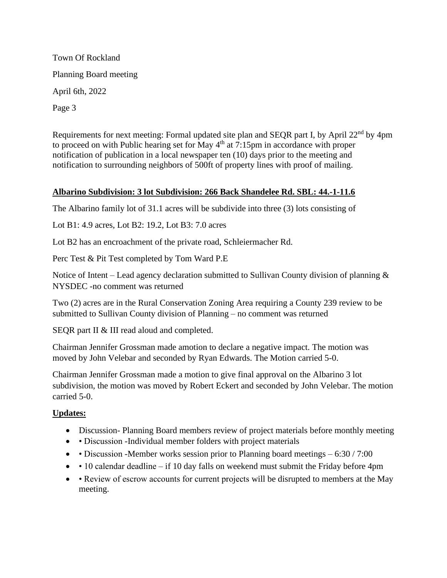Town Of Rockland Planning Board meeting April 6th, 2022 Page 3

Requirements for next meeting: Formal updated site plan and SEOR part I, by April 22<sup>nd</sup> by 4pm to proceed on with Public hearing set for May  $4<sup>th</sup>$  at 7:15pm in accordance with proper notification of publication in a local newspaper ten (10) days prior to the meeting and notification to surrounding neighbors of 500ft of property lines with proof of mailing.

#### **Albarino Subdivision: 3 lot Subdivision: 266 Back Shandelee Rd. SBL: 44.-1-11.6**

The Albarino family lot of 31.1 acres will be subdivide into three (3) lots consisting of

Lot B1: 4.9 acres, Lot B2: 19.2, Lot B3: 7.0 acres

Lot B2 has an encroachment of the private road, Schleiermacher Rd.

Perc Test & Pit Test completed by Tom Ward P.E

Notice of Intent – Lead agency declaration submitted to Sullivan County division of planning & NYSDEC -no comment was returned

Two (2) acres are in the Rural Conservation Zoning Area requiring a County 239 review to be submitted to Sullivan County division of Planning – no comment was returned

SEQR part II & III read aloud and completed.

Chairman Jennifer Grossman made amotion to declare a negative impact. The motion was moved by John Velebar and seconded by Ryan Edwards. The Motion carried 5-0.

Chairman Jennifer Grossman made a motion to give final approval on the Albarino 3 lot subdivision, the motion was moved by Robert Eckert and seconded by John Velebar. The motion carried 5-0.

#### **Updates:**

- Discussion-Planning Board members review of project materials before monthly meeting
- • Discussion -Individual member folders with project materials
- • Discussion -Member works session prior to Planning board meetings 6:30 / 7:00
- $\bullet$  10 calendar deadline if 10 day falls on weekend must submit the Friday before 4pm
- • Review of escrow accounts for current projects will be disrupted to members at the May meeting.